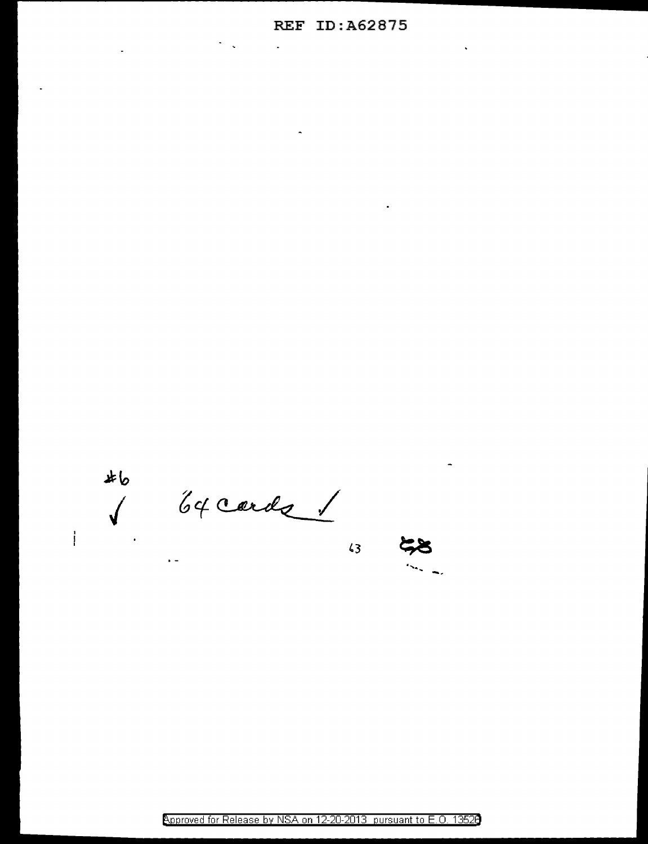### **REF ID:A62875**

 $\overline{a}$ 

 $\ddot{\phantom{a}}$ 

 $\frac{1}{2}$ 

 $46$ S 64 cards

 $\epsilon$  .

 $\sqrt{3}$ 

Approved for Release by NSA on 12-20-2013 pursuant to E.O. 13528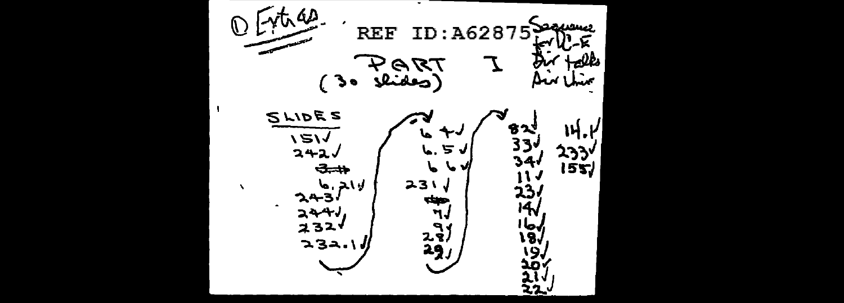$\bullet$ 社经 سسس :A62875 **REF** ΤD PART Hell ٦, ستك  $3<sub>o</sub>$ سحا **SLIDES** ቄ ኢነ 14.1  $151/242/$ ربه 33  $6.5J$ ردوی<br>۱۶۳۱ 34.<br>11.  $\rightarrow$  $243/4$  $231$ 23.<br>14V  $\blacksquare$  $244v$ رجاء<br>18ء  $2\frac{3}{2}$ 2321  $232.1$ 9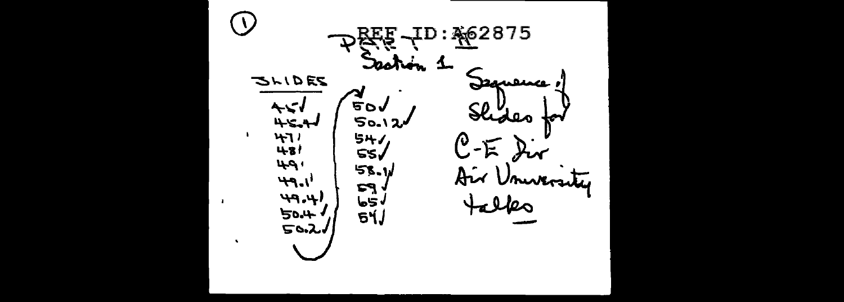$ID: \frac{10}{10}$  2875 ΈF Turn, **1** ୧ଧ **SHIDES** Jeguerre ∼ **500** Shoes 50.12 w لبردجها  $H$ 541 ∕ତ  $-\mathbb{E}$  $481$  $ss$  $49.$  $58.1$ Air University<br>Falks  $49.1$  $F<sub>3</sub>$  $(4.9)$  $\mathbf{b}$ 5 $\sqrt{ }$ 50.4  $51/$  $50.21$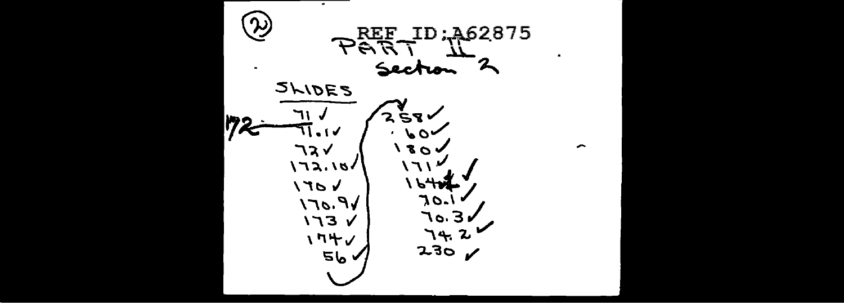$\overline{\phantom{a}}$ સ્પ્રે **PART ID: 462875**  $\bullet$ グ Section  $\bullet$ SLIDES  $258$ ゆっ ∕ ، ، ۱۷  $60<$  $\overline{\phantom{a}}$ コスイ  $180<sub>v</sub>$  $\sqrt{22.18}$ ハフト المهو ا  $\sqrt{70}$  $VP.071$ 7071 70.3*v*  $V$   $Ef$  $74.2$ 174/  $230$  $56<sub>0</sub>$  $\boldsymbol{\mathscr{L}}$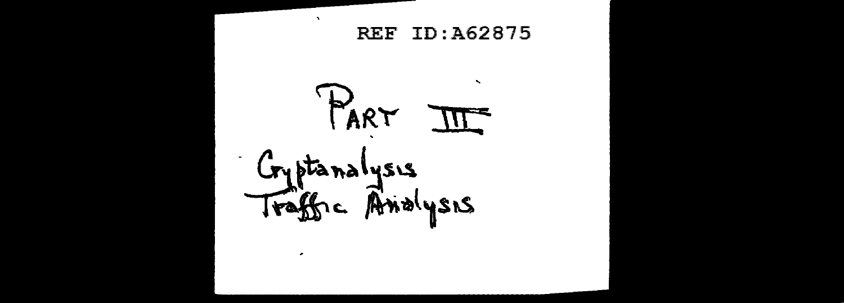$\mathbf{v}$ REF ID:A62875 PART  $\mathbb{H}$ Gyptanalysis<br>Traffic Andysis ٠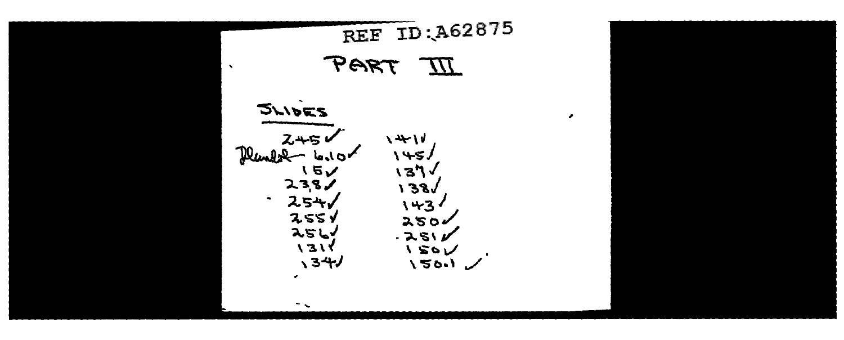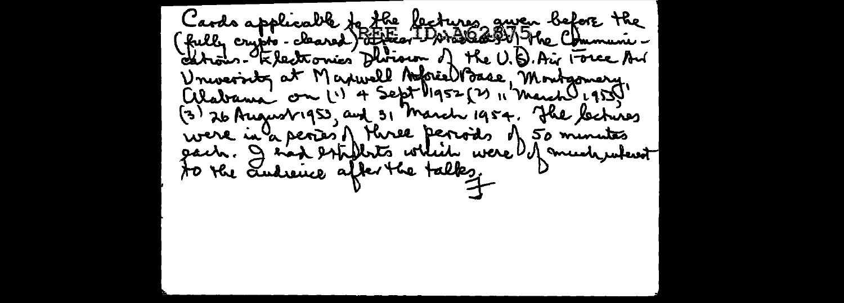Cards applicable to the lectures guven before the<br>(fully crypts - cleared) attries I world 2001 The Communi -<br>edtrois - Rlectornies Division of the U.D. Air Force An University at Maxwell Aspiel Base, Montgomery alabame on 11 4 Sept 1952 (2) " March 1955) were in a peries of Here peroids of 50 minutes<br>gach. I had estimite which were of much when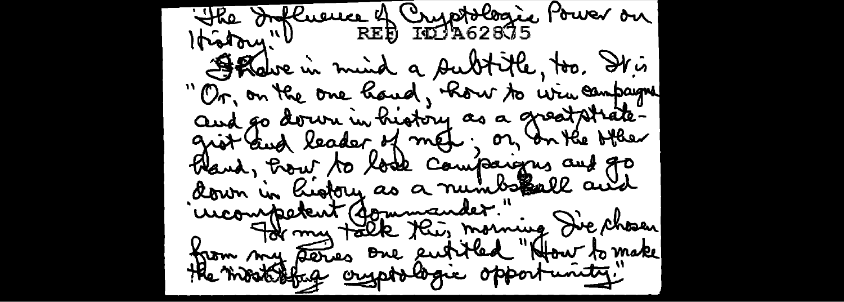"The Influence of Cryptologic Power on Shake in mind a subtitle, too. It is Or, on the one hand, Row to win campaigne and go down in history as a great strategrot and leader of met, or an the other Fland, Front to look comparisons and go down in history as a numbereall and uncompetent (formmander." [<br>2 For my talk this morning Die chosen from my deries one entitled "How to make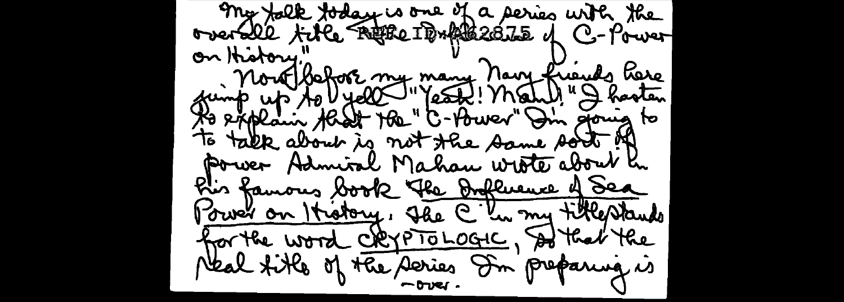my falk foday is one of a series with the on History" Mour Bahor my many Navy friends Parce to explain that The "C- tower" In going to to talk about is not the same sort of Power Admiral Mahan wrote about h Pis famous book The Influence of Sea Power on History, The C he my titlestands for the word CRYPTOLOGIC, At that the Neal fitle of the series In preparing is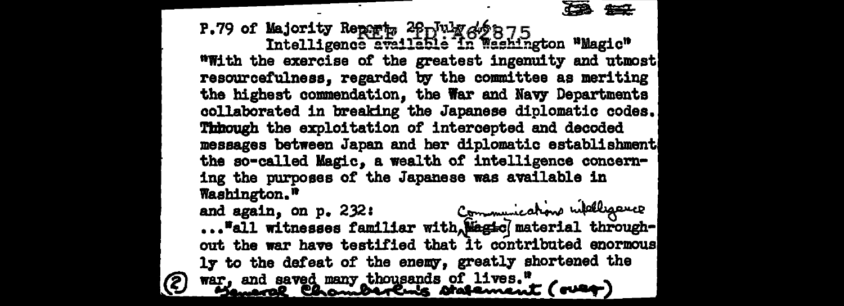427

P.79 of Majority Reports 2 $f_1$  why  $f_2$  875<br>Intelligence available in Washington "Magic" "With the exercise of the greatest ingenuity and utmost resourcefulness, regarded by the committee as meriting the highest commendation. the War and Navy Departments collaborated in breaking the Japanese diplomatic codes. Through the exploitation of intercepted and decoded messages between Japan and her diplomatic establishment the so-called Magic, a wealth of intelligence concerning the purposes of the Japanese was available in Washington."

Communications wildligauce and again, on  $p$ . 232: ..."all witnesses familiar with Wagic material throughout the war have testified that it contributed enormous ly to the defeat of the enemy, greatly shortened the war, and saved many thousands of lives."<br>"Samarof ChomperCurs statement (over)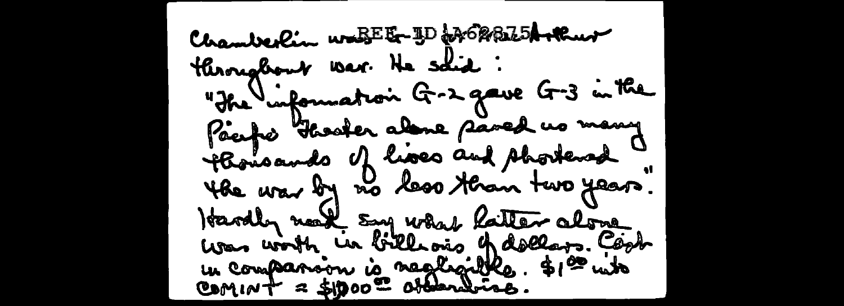Chamberlin waBEE-ID & BB25Arkur throughout war. He solid : "The information G-2 gave G-3 in the Pacific Fleaster alone pared us many thousands of hoses and shortened the war by no less than two years. Hardly north say what hatter alone<br>was worth in bill ons of dollars. Cook u companion à negligible. \$100 mits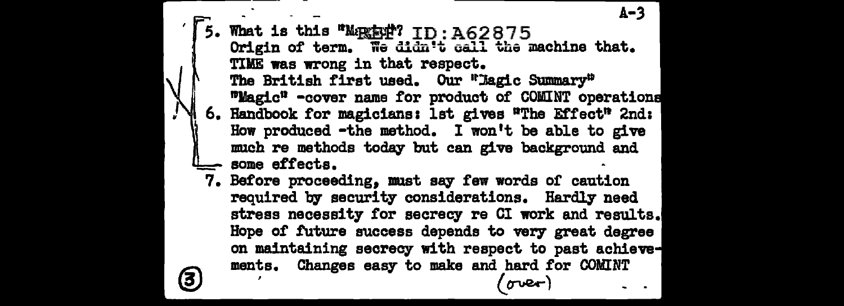A-3 5. What is this  $M_{\text{R}} = 75.462875$ Origin of term. We didn't call the machine that. TIME was wrong in that respect. The British first used. Our <sup>#</sup>Jagic Summary<sup>#</sup>  $m$ Magic<sup>n</sup> -cover name for product of COMINT operations 6. Handbook for magicians: lst gives "The Effect" 2nd: How produced -the method. I won't be able to give much re methods today but can give background and some effects.

7. Before proceeding, must say few words or caution required by security considerations. Hardly need stress necessity tor secrecy re CI work and results. Hope *ot* future success depends to very- great degree on maintaining secrecy with respect to past achieve manta. Changes easy to make and hard for COMINT

((1"\IQ!r)

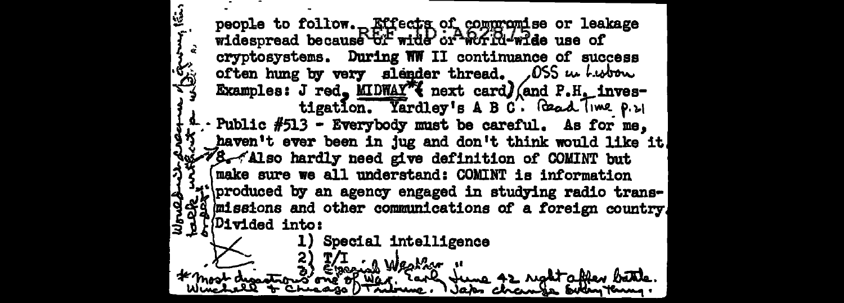⊻ people to follow. Effects of compromise or leakage widespread because of wide or world-wide use of cryptosystems. During WW II continuance of success often hung by very slender thread. OSS we had Examples: J red, MIDWAY wext card/ (and P.H. investigation. Yardley's A B C. Gead Time P. 21 · Public #513 - Everybody must be careful. As for me. haven't ever been in jug and don't think would like it. 78 Also hardly need give definition of COMINT but make sure we all understand: COMINT is information "il produced by an agency engaged in studying radio trans-953 missions and other communications of a foreign country. Divided into: Special intelligence iarly tune 42 right affer battle.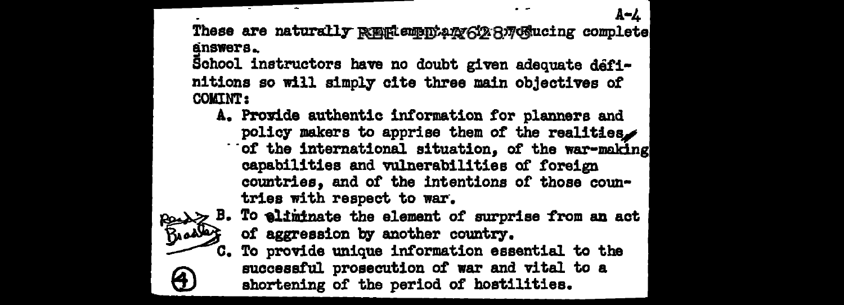These are naturally REELempntany6128776 ucing complete answers.

A-4

School instructors have no doubt given adequate definitions so will simply cite three main objectives of **COMINT:** 

A. Provide authentic information for planners and policy makers to apprise them of the realities. of the international situation, of the war-making capabilities and vulnerabilities of foreign countries, and of the intentions of those coun-



 $\bigoplus$ 

- B. To eliminate the element of surprise from an act<br>Broad of aggression by another country
	- C. To provide unique information essential to the successful prosecution of war and vital to a shortening of the period of hostilities.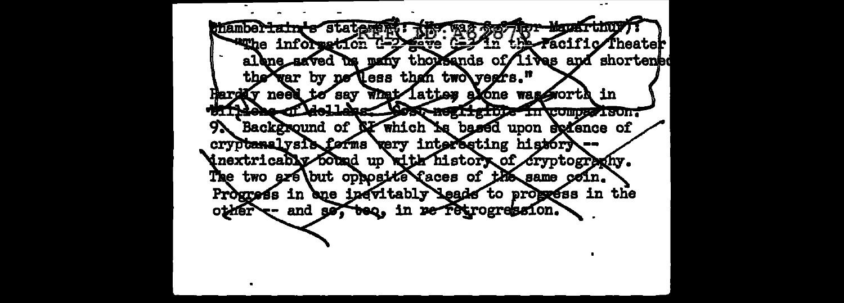hamber<del>lain's</del> statement **ROY-MALIST GILLI Wille information G-2 Mays** the Facific Theater alone asved us many thousands of lives and shortened the yer by ne less than two years." **Ender neet to** What latter alone was gorth in  $s<sub>xy</sub>$ delles Most negh group de l'aont Æ Background of NY which is based upon schence of **97** cryptanalysis forms very interesting historyinextricably found up with history of Gryptography. The two exe (but opposite (aces of the same coin. Progress in one inevitably leads to progress in the and se, bec, in reflexpogression. other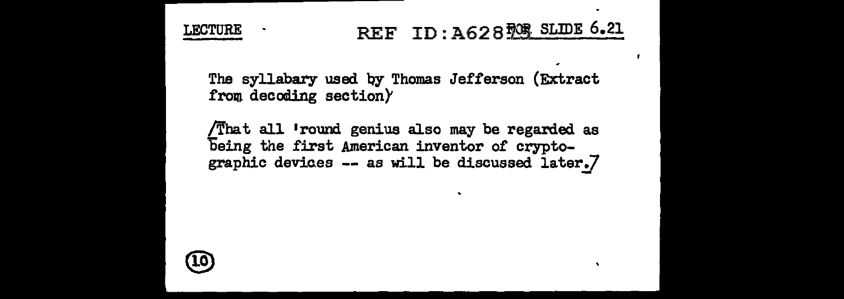

The syllabary used by Thomas Jefferson (Extract from decoding section $)$ 

/That all •round genius also may be regarded as being the first American inventor of cryptographic devices  $-$  as will be discussed later.7

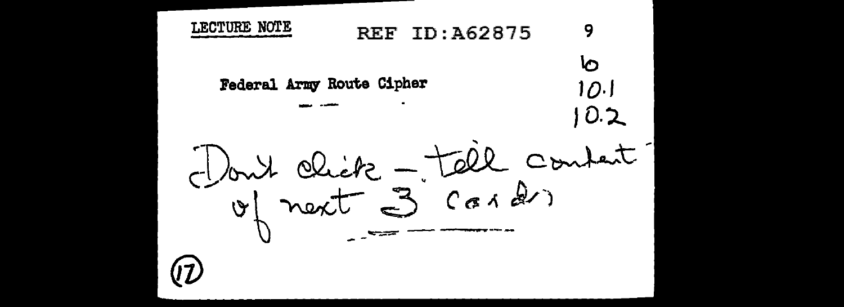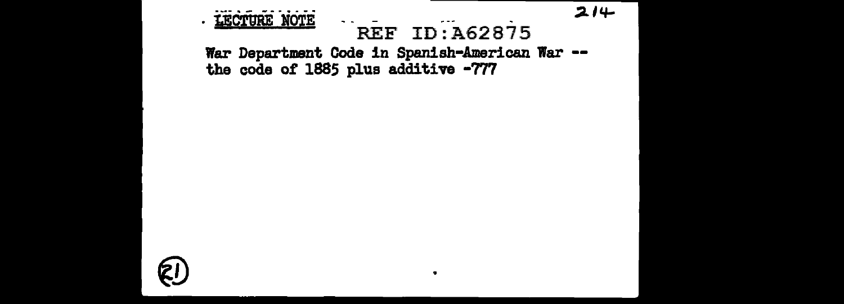$214$ . LECTURE NOTE  $\sim$   $\sim$ REF ID: A62875 War Department Code in Spanish-American War --<br>the code of 1885 plus additive -777

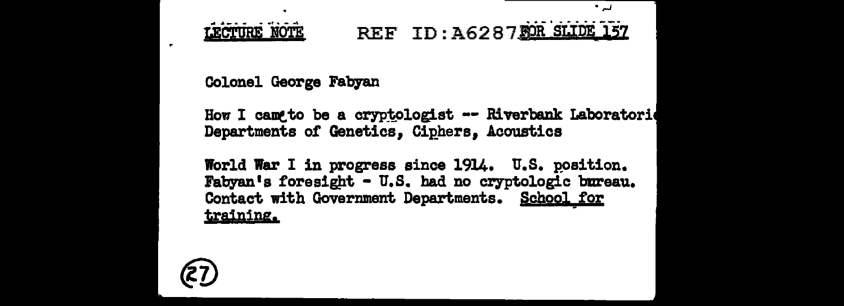#### REF ID: A6287 FOR SLIDE 157 LECTURE NOTE

الداف

Colonel George Fabyan

 $\overline{\phantom{a}}$ 

How I cam to be a cryptologist -- Riverbank Laboratorie Departments of Genetics, Ciphers, Acoustics

World War I in progress since 1914. U.S. position. Fabyan's foresight - U.S. had no cryptologic bureau. Contact with Government Departments. School for training.

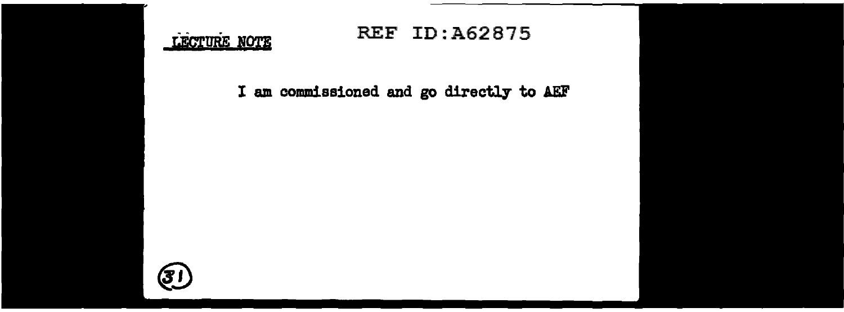

# <u>(31</u>

#### REF ID:A62875

#### I am commissioned and go directly to AEF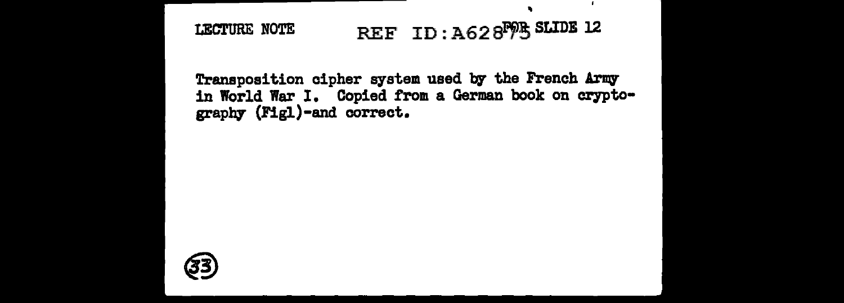# LECTURE NOTE REF ID :  $A628^{F}$ % SLIDE 12

Transposition cipher system used by the French Army in World War I. Copied from a German book on cryptography (Figl)-and correct.

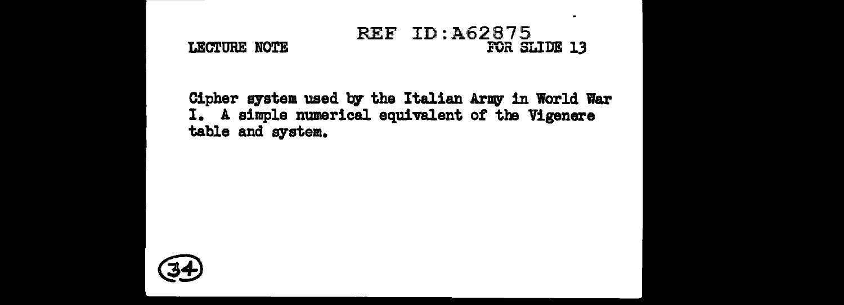#### REF ID:A62875 LECTURE NOTE FOR SLIDE 13

 $\overline{a}$ 

Cipher system used by the Italian Army in World War I. A simple numerical equivalent of the Vigenere table and system.

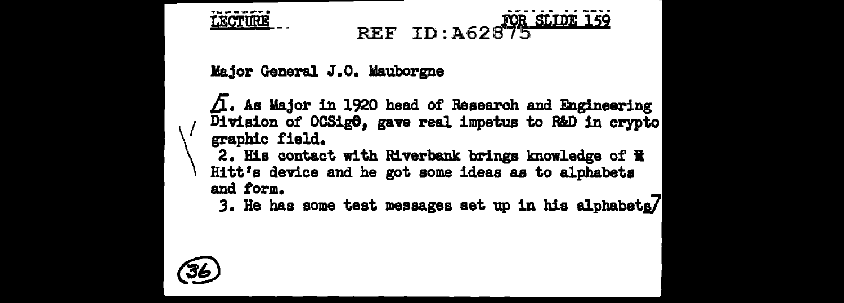**LECTURE** 

# REF ID:A62875

Major General J.O. Mauborgne

 $\Delta$ . As Major in 1920 head of Research and Engineering Division of OCSigO, gave real impetus to R&D in crypto graphic field.

2. His contact with Riverbank brings knowledge of H Hitt's device and he got some ideas as to alphabets and form.

3. He has some test messages set up in his alphabets/

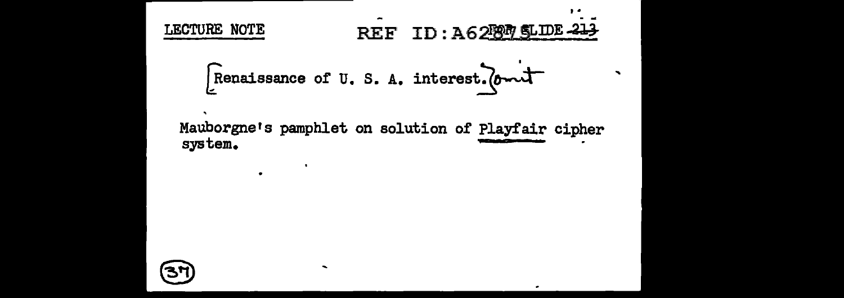# LECTURE NOTE REF ID: A6280 SLIDE 213 Renaissance of U.S.A. interest. (ant Mauborgne's pamphlet on solution of Playfair cipher system.



 $\sim$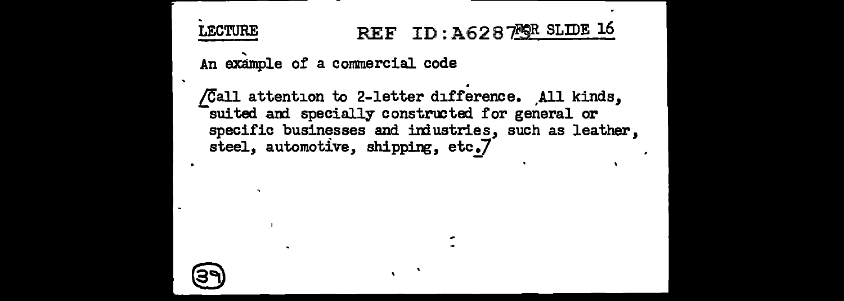#### **LECTURE** REF ID: A628 ?SR SLIDE 16

An example of a commercial code

/Call attention to 2-letter difference. All kinds, suited and specially constructed for general or specific businesses and industries, such as leather. steel. automotive, shipping, etc.7

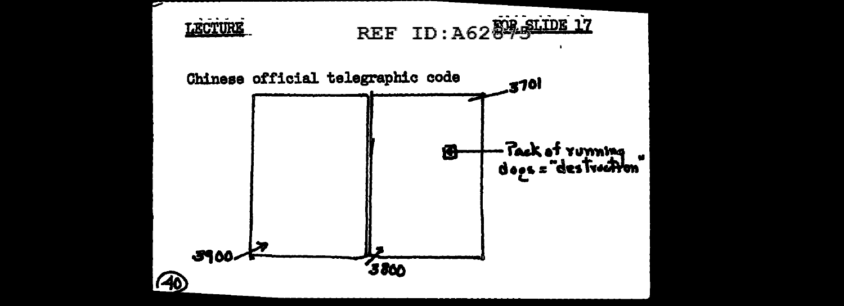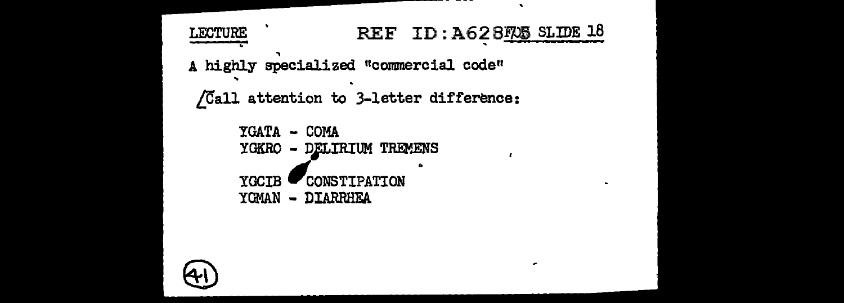```
\bulletREF ID: A628725 SLIDE 18
LECTURE
A highly specialized "commercial code"
 /Call attention to 3-letter difference:
      YGATA - COMA
      YGKRO - DELIRIUM TREMENS
      YGCIB
              CONSTIPATION
```
 $\sim$ 

YGMAN - DIARRHEA

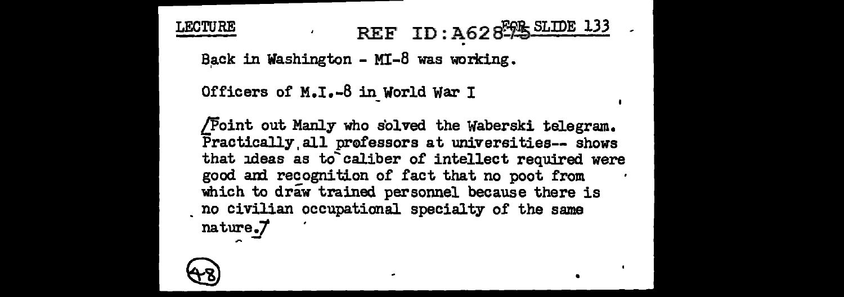LECTURE REF ID :  $A62 R$ <sup>E</sup><sub>PE</sub> SLIDE 133

Back in Washington - MI-8 was working.

Officers of M.I.-8 in World War I

[Point out Manly who solved the Waberski telegram. Practically, all prafessors at universities-- shows that ideas as to'caliber of intellect required were good and recognition of fact that no poot from which to draw trained personnel because there is . no civilian occupational specialty of the same nature.7

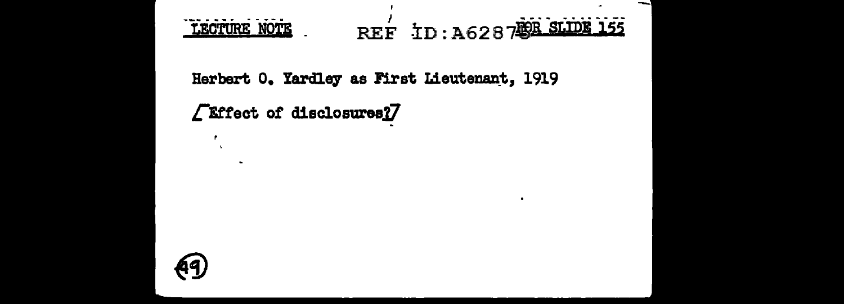

٠

Herbert 0. Yardley as First Lieutenant, 1919

**TEffect of disclosures?7** 

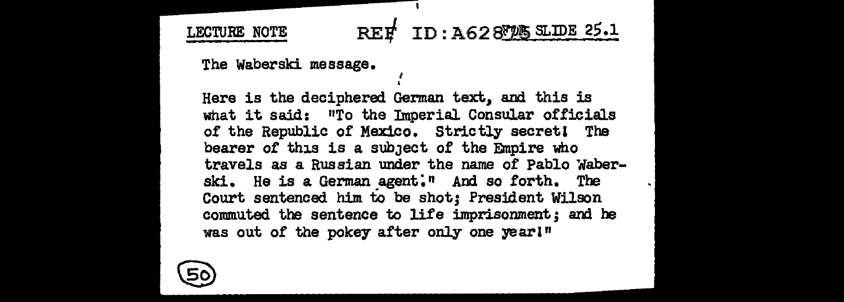### LECTURE NOTE REF ID :  $A628$ TAS SLIDE 25.1

The Waberski message.

. Here is the deciphered German text, and this is what it said: "To the Imperial Consular officials of the Republic of Mexico. Strictly secret! The bearer of this is a subject of the Empire who travels as a Russian under the name of Pablo Waberski. He is a German agent." And so forth. The Court sentenced him to be shot; President Wilson commuted. the sentence to life imprisonment; and he was out of the pokey after only one year!"

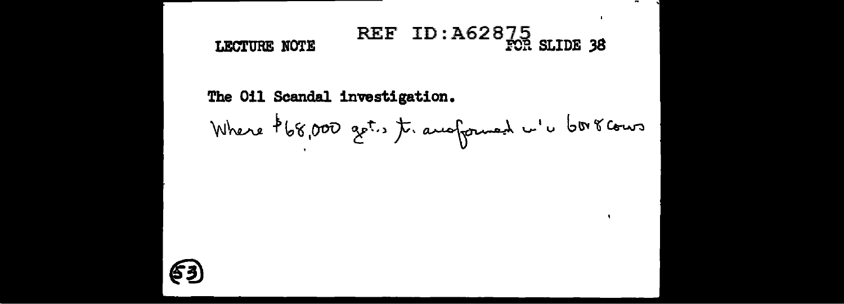#### REF ID: A62875 SLIDE 38 LECTURE NOTE

The Oil Scandal investigation. Where \$68,000 get. t. ausformed w's borscours

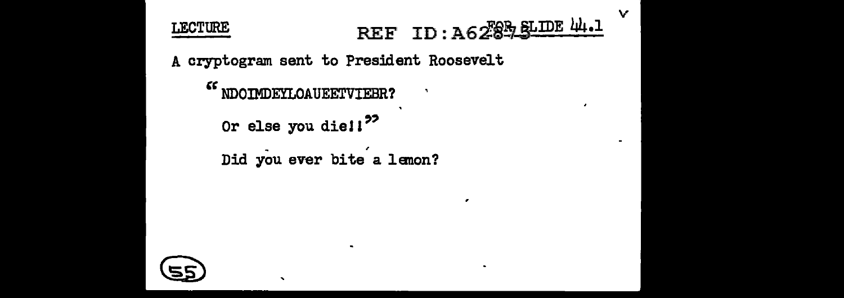#### REF ID: A6289 SLIDE 44.1 **LECTURE** A cryptogram sent to President Roosevelt

٠

 $\ddot{\phantom{1}}$ 

 $\mathbf{v}$ 

 $\blacksquare$ 

```
\epsilon\epsilonNDOIMDEYLOAUEETVIEBR?
  Or else you die!!<sup>22</sup>
  Did you ever bite a lemon?
```
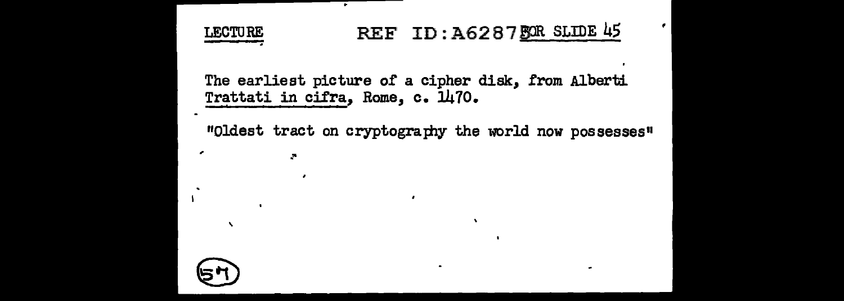### LECTURE REF ID: A6287 FOR SLIDE 45

Ŧ

 $\overline{\phantom{a}}$ 

The earliest picture of a cipher disk, from Alberti Trattati in cifra, Rome, c. 1470.

"Oldest tract on cryptography the world now possesses"

۰

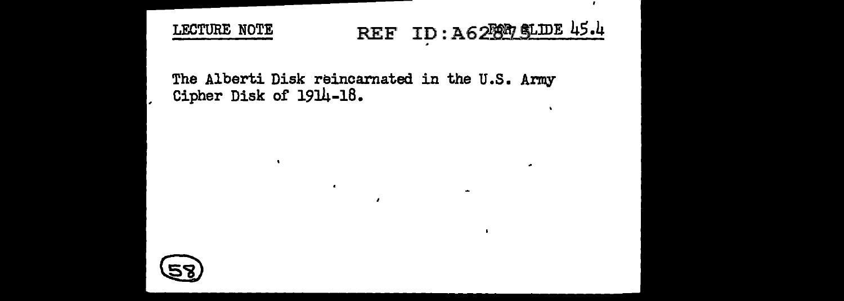LECTURE NOTE REF ID :  $A62997$  SLIDE 45.4

 $\cdot$ 

۰

 $\overline{\phantom{a}}$ 

The Alberti Disk reincarnated in the U.S. Army Cipher Disk of 1914-18.

 $\lambda$ 

 $\cdot$ 

 $\mathbf{R}$ 

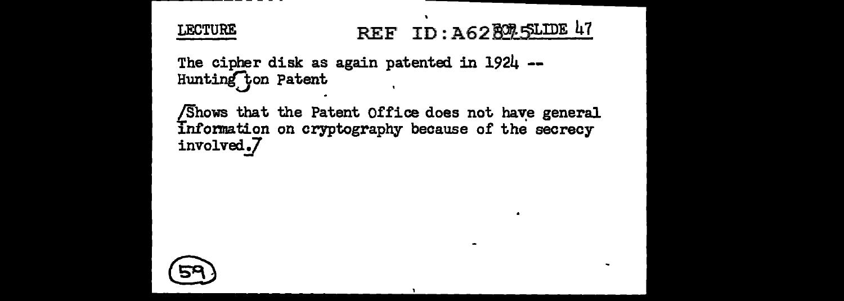**LECTURE** 

# REF ID: A628925LIDE 47

The cipher disk as again patented in 1924 --Hunting ton Patent

Shows that the Patent Office does not have general Information on cryptography because of the secrecy involved.7

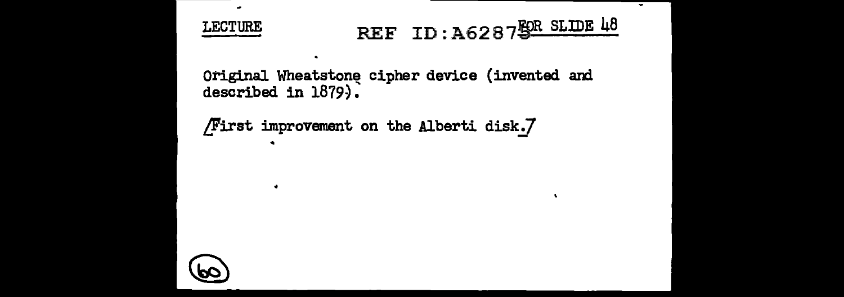

≂

Original Wheatstone cipher device (invented and described in 1879).

```
/First improvement on the Alberti disk.7
```


 $\bullet$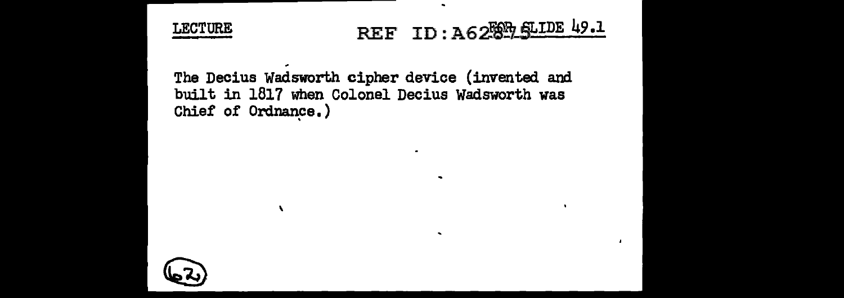

# LECTURE REF ID: A62ESE ELIDE 49.1

 $\blacksquare$ 

 $\ddot{\phantom{0}}$ 

The Decius Wadsworth cipher device (invented and built in 1817 when Colonel Decius Wadsworth was Chief of Ordnance.)

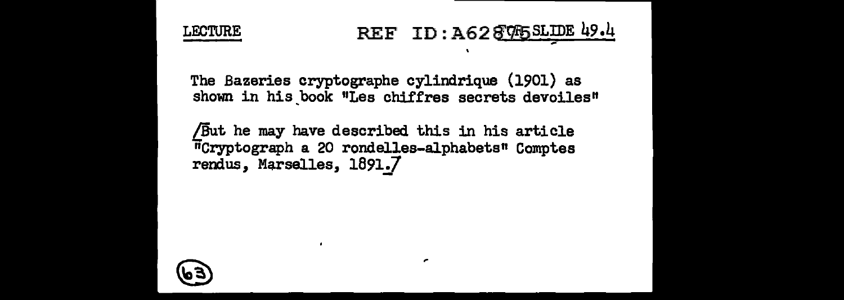

### LECTURE REF ID : A62  $\sqrt[3]{45}$  SLIDE 49.4

The Bazeries cryptographe cylindrique (1901) as shown in his book "Les chiffres secrets devoiles"

/But he may have described this in his article iicryptograph a 20 rondelles-alphabets" Comptes rendus, Marselles, 1891.7

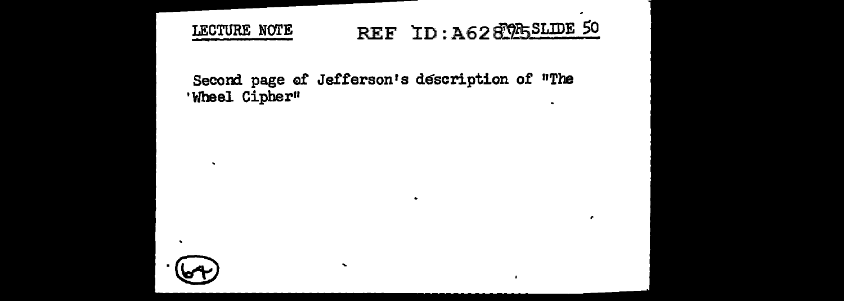#### REF ID: A62895SLIDE 50 LECTURE NOTE

 $\bullet$ 

#### Second page of Jefferson's description of "The 'Wheel Cipher"  $\blacksquare$



 $\mathbf{r}$ 

 $\bullet$ 

 $\tilde{\phantom{a}}$ 

.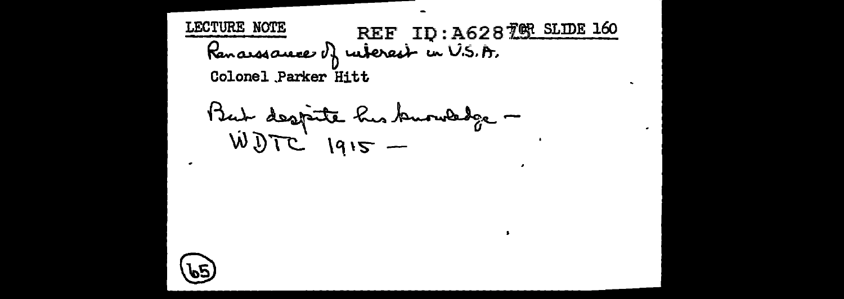REF ID:A62870R SLIDE 160 LECTURE NOTE Renarssauce of ruterest in V.S.A. Colonel Parker Hitt

But despite his buouledge -

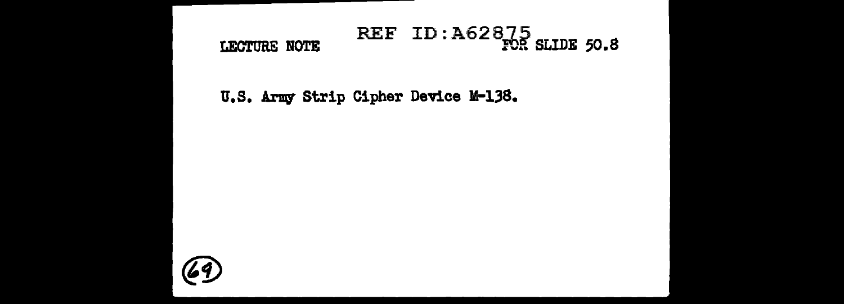#### REF ID: A62875 SLIDE 50.8 LECTURE NOTE

U.S. Army Strip Cipher Device M-138.

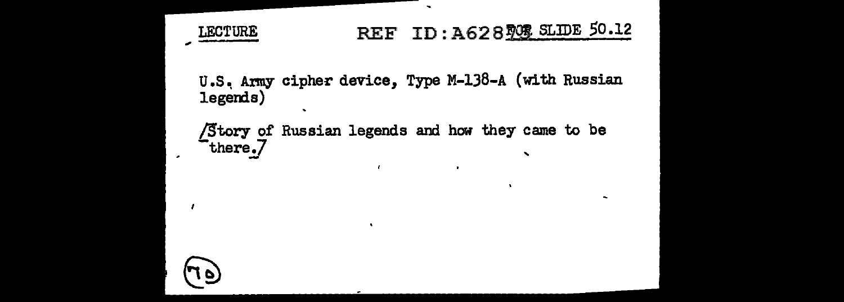

1 P

## REF ID: A628 908 SLIDE 50.12

 $\sim$ 

U.S. Army cipher device, Type M-138-A (with Russian legends)

Story of Russian legends and how they came to be there.7  $\overline{\phantom{0}}$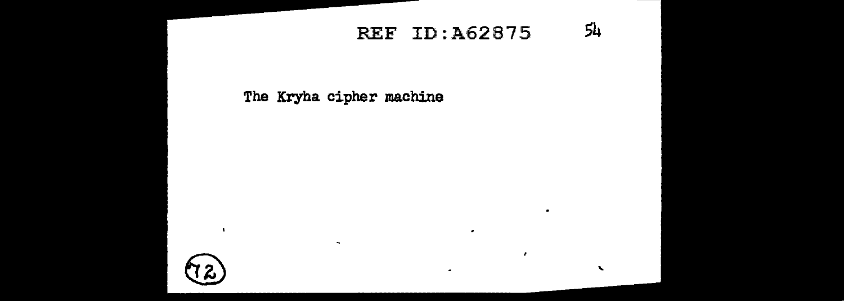### REF ID: A62875 54

٠

 $\mathbf{r}$ 

 $\bullet$ 

 $\mathbf{v}$ 

 $\bullet$ 

The Kryha cipher machine

 $\sim$ 



 $\blacksquare$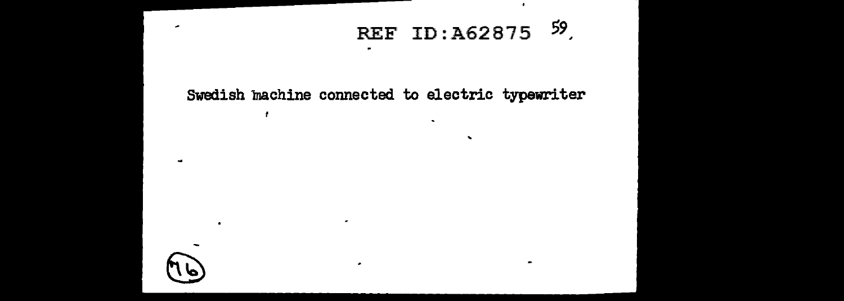## REF ID:  $\lambda$ 62875 <sup>59</sup>

 $\mathbf{v}$ 

 $\sim$ 

#### Swedish machine connected to electric typewriter

٠.



 $\overline{a}$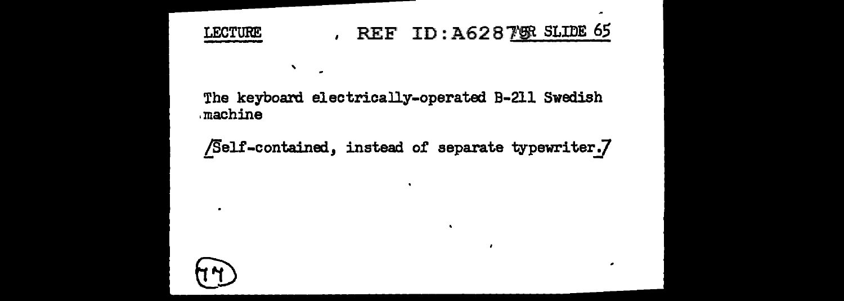

'

### LECTURE REF ID: A62875R SLIDE 65

 $\cdot$ 

 $\overline{a}$ 

The keyboard electrically-operated B-211 Swedish .machine

/Self-contained, instead of separate typewriter.7



 $\overline{\phantom{a}}$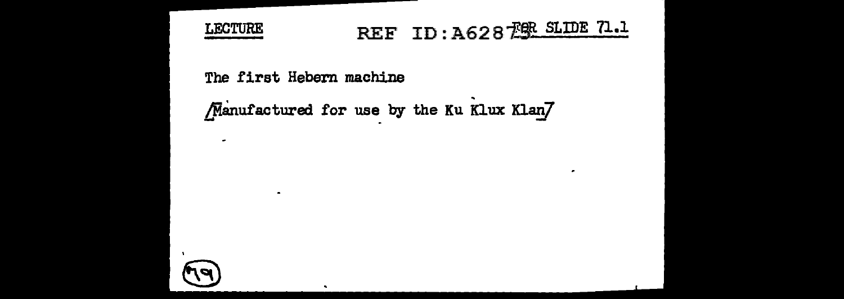

÷.

# REF ID: A628 FOR SLIDE 71.1

٠

The first Hebern machine

 $\bullet$ 

Manufactured for use by the Ku Klux Klan/

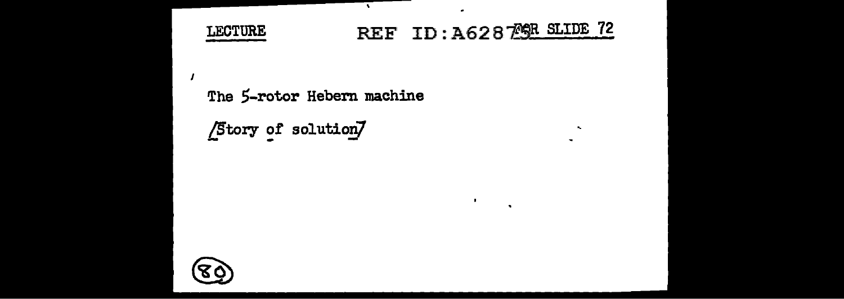

,

# REF ID: A62879R SLIDE 72

 $\blacksquare$ 

 $\bullet$ 

 $\mathbf{r}_\mathrm{c}$  $\sim$ 

٠

The 5-rotor Hebern machine

٠,

 $\sqrt{\text{Story of solution}}$ 

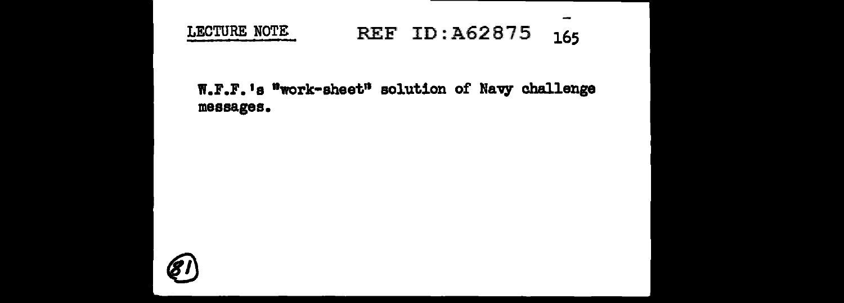

### LECTURE NOTE REF ID: A62875 165

٠

#### W.F.F.'s "work-sheet" solution of Navy challenge messages.

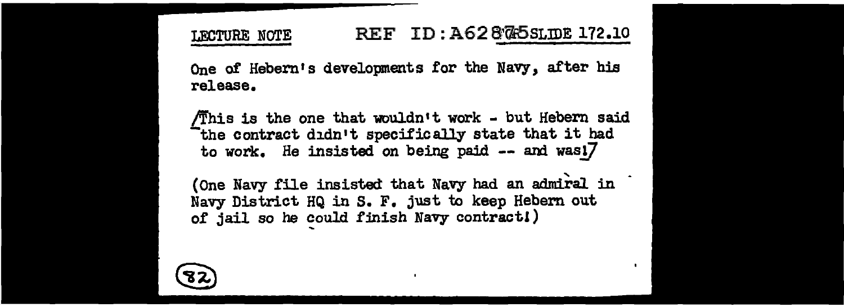#### LECTURE NOTE REF ID: A628745SLIDE 172.10

One of Hebern's developments for the Navy, after his release.

/This is the one that wouldn•t work - but Hebern said -the contract didn•t specifically state that it had to work. He insisted on being paid  $--$  and was! $7$ 

(One Navy file insisted that Navy had an admiral in Navy District HQ in s. F. just to keep Hebem out of jail so he could finish Navy contract!)

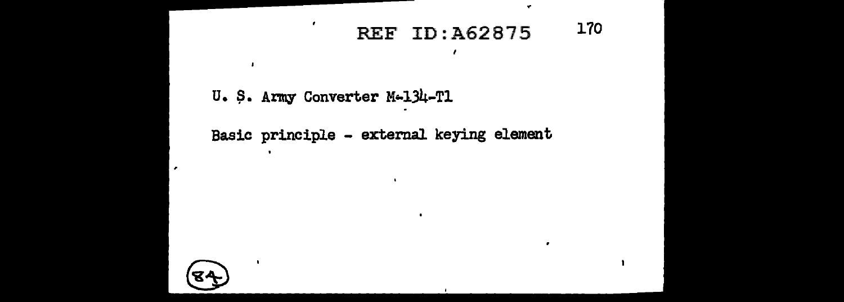#### 170 **REF ID: A62875**

U. S. Army Converter M-134-T1

 $\mathbf{r}$ 

Basic principle - external keying element



 $\cdot$ 

.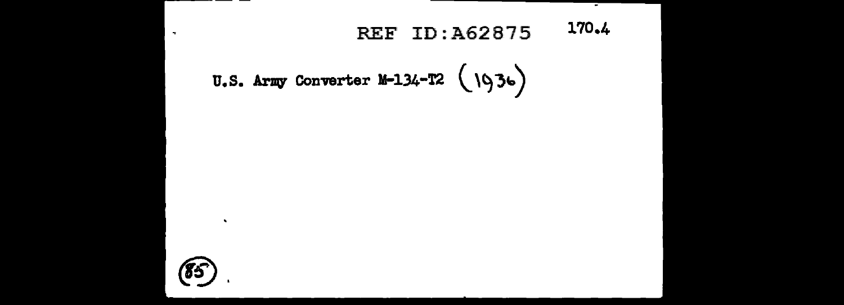#### 170.4 **REF ID: A62875**

--

U.S. Army Converter M-134-T2  $(1936)$ 



 $\bullet$ 

 $\sim$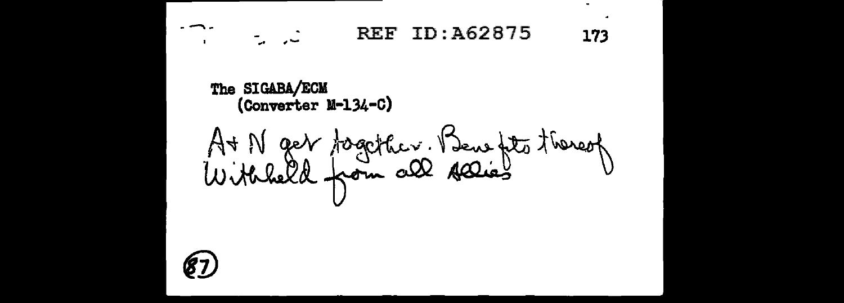ID:A62875 **REF** نۍ په 173 The SIGABA/ECM (Converter M-134-C) At N get together. Beweft thereof

 $\blacksquare$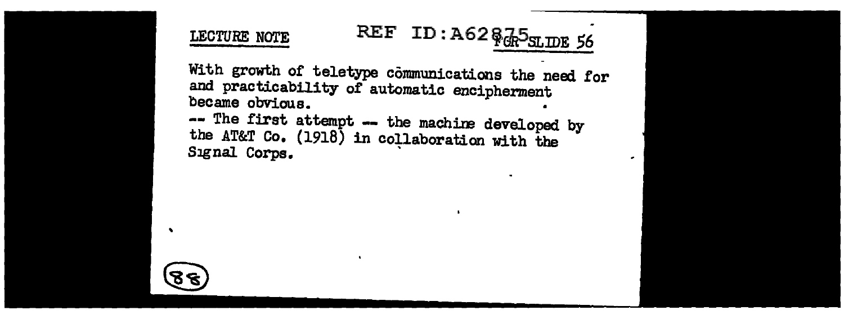# LECTURE NOTE **REF** ID :  $A62$   $\frac{2}{3}$  $\frac{1}{4}$  $\frac{5}{3}$ <sub>SLIDE</sub> 56

With growth of teletype communications the need for and practicability of automatic encipherment became obvious. • -- The first attempt -- the machine developed by the AT&T Co. (1918) in collaboration with the Signal Corps.

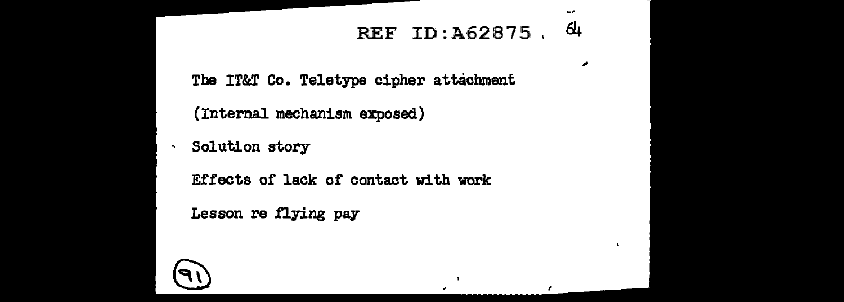### REF ID:  $A62875, 64$

٠.

,

 $\mathbf{r}$ 

 $\sim$   $\sigma$ 

The IT&T Co. Teletype cipher attachment

(Internal mechanism exposed)

· Solution story

Effects of lack of contact with work

Lesson re flying pay

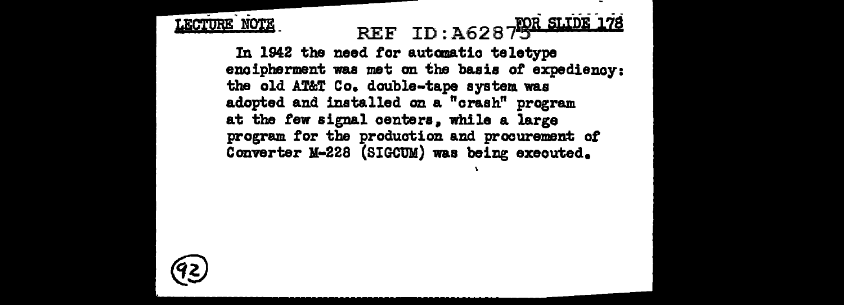# LECTURE NOTE REF ID: A6287 POR SLIDE 178

In 1942 the need for automatic teletype enoipherment was met on the basis *ot* expediency: the old AT&T Co. double-tape system was adopted and installed on a "crash" program at the few signal centers. while a large program for the production and procurement of Converter M-228 (SIGCUM) was being executed.

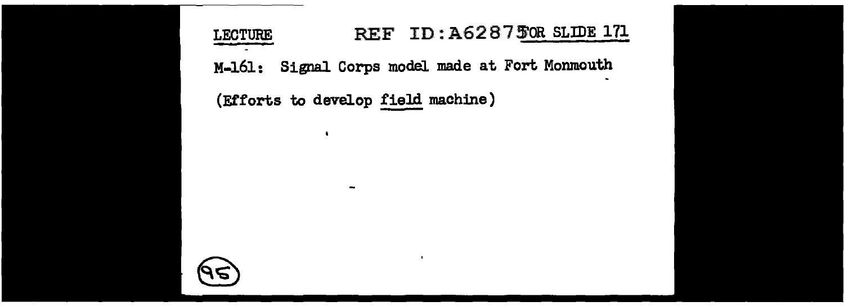LECTURE REF ID: A6287 50R SLIDE 171 M-161: Signal Corps model made at Fort Monmouth (Efforts to develop field machine)

 $\blacksquare$ 

 $\bullet$ 

-

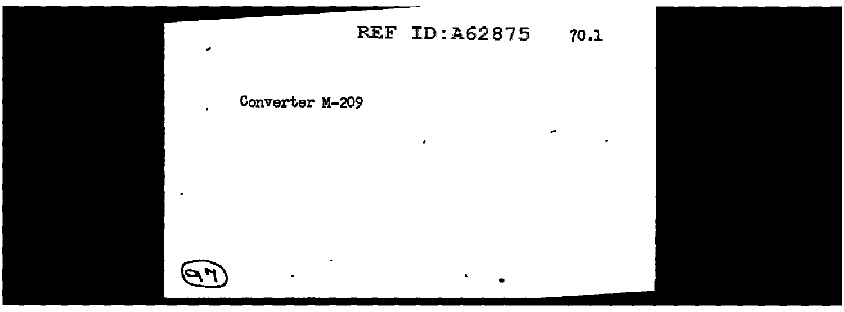#### **REF ID: A62875**  $70.1$

 $\overline{\phantom{a}}$ 

 $\tilde{\phantom{a}}$ 

 $\cdot$ 

#### Converter M-209

 $\bullet$ 

 $\mathbf{r}$ 

 $\overline{\phantom{a}}$ 

٠

 $\overline{\phantom{a}}$ 

٠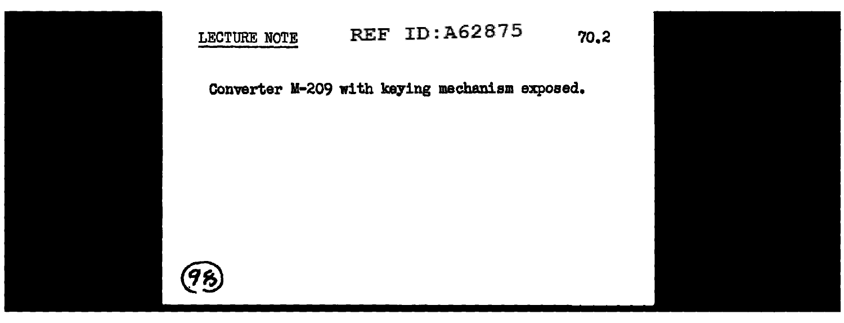



### LECTURE NOTE REF ID: A62875 70.2

Converter M-209 with keying mechanism exposed.

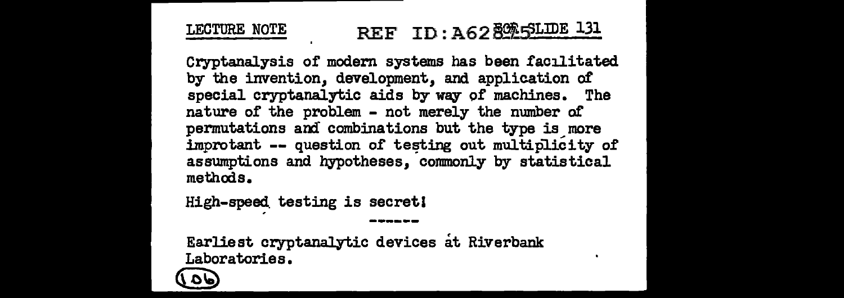#### REF ID: A62 800 SLIDE 131 LECTURE NOTE

Cryptanalysis of modern systems has been facilitated by the invention, development, and application of special cryptanalytic aids by way of machines. The nature of the problem - not merely the number of permutations and combinations but the type is more improtant -- question of testing out multiplicity of assumptions and hypotheses, commonly by statistical methods.

High-speed testing is secret!

Earliest cryptanalytic devices at Riverbank Laboratories.

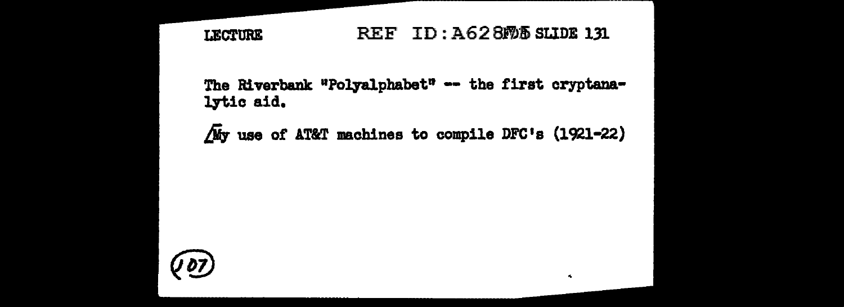#### REF ID: A628M5 SLIDE 131 **LECTURE**

The Riverbank "Polyalphabet"  $-$  the first cryptanalytic aid.

 $\sqrt{M}$ y use of AT&T machines to compile DFC's (1921-22)

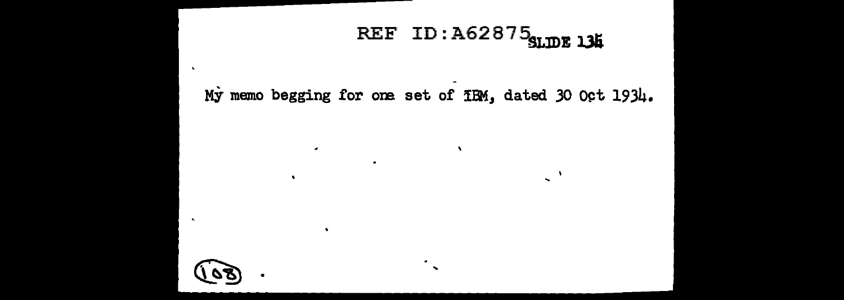# REF ID:  $A62875$ SLIDE 134

 $\Delta$ 

 $\mathbb{R}^{\mathbb{N}}$ 

My memo begging for one set of  $H$ M, dated 30 Oct 1934.



 $\epsilon$ 

 $\bullet$ 

 $\bullet$ 

 $\mathbf{u}$ 

 $\bullet$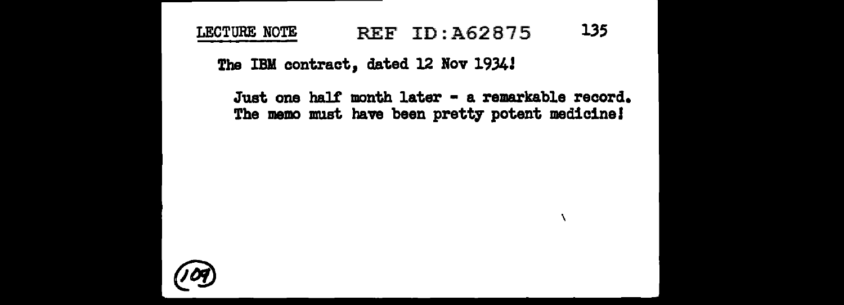### LECTURE NOTE REF ID:A62875 135

The IBM contract, dated 12 Nov l934J

Just one half month later - a remarkable record. The memo must have been pretty potent medicine!

\

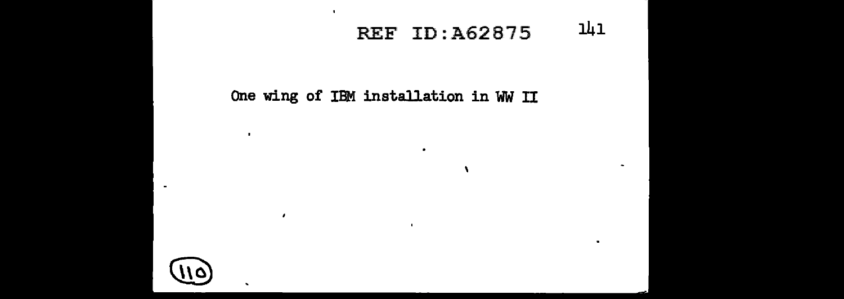### REF ID:A62875 141

 $\bullet$ 

 $\bullet$ 

#### One wing of IBM installation in WW II

 $\bullet$ 

 $\bullet$ 



 $\sim$ 

 $\blacksquare$ 

 $\cdot$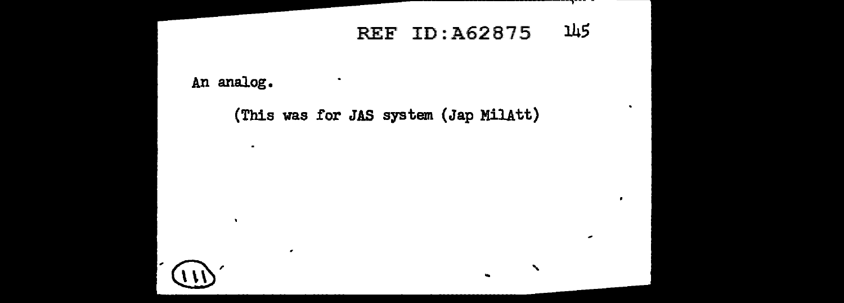#### 145 **REF ID: A62875**

------ -

 $\bullet$ 

٠

 $\overline{\phantom{a}}$ 

ш.

An analog.

 $\sim$ 

٠

 $\bullet$ 

(This was for JAS system (Jap MilAtt)

٠

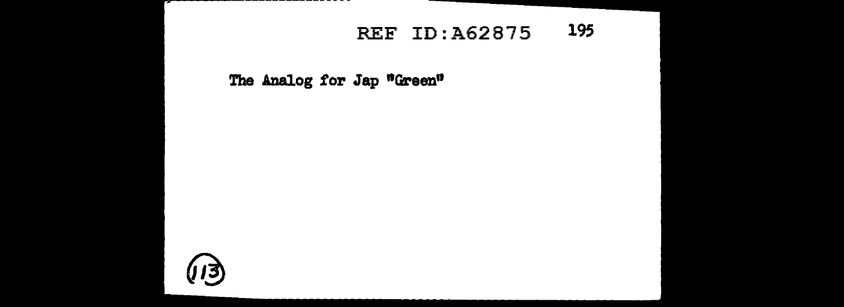#### 195 **REF ID: A62875**

#### The Analog for Jap "Green"

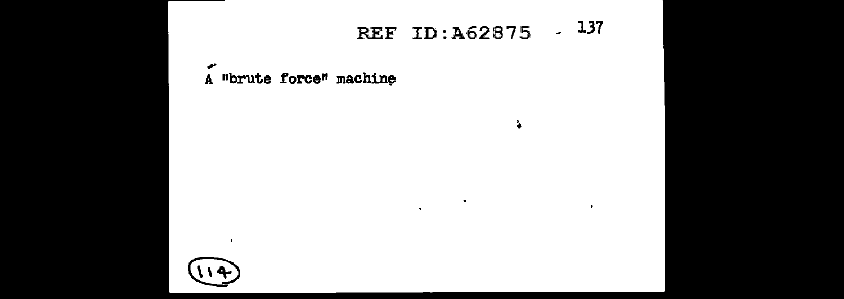# REF ID:A62875 / 137

 $\bullet$ 

 $\bullet$ 

÷.

 $\bullet$ 

مو A "brute force" machine



 $\blacksquare$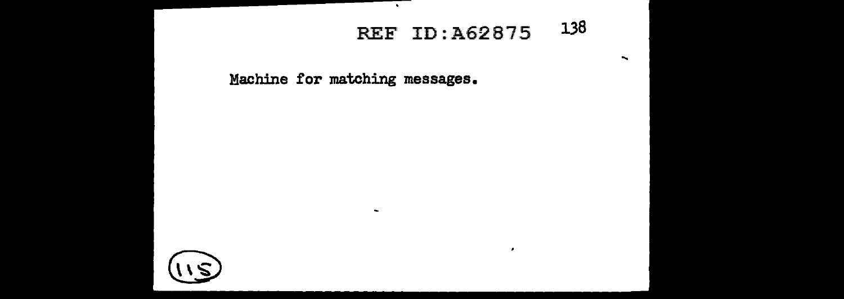### REF ID: A62875 138

 $\cdot$ 

 $\overline{\phantom{0}}$ 

Machine for matching messages.

 $\sim$ 

×.

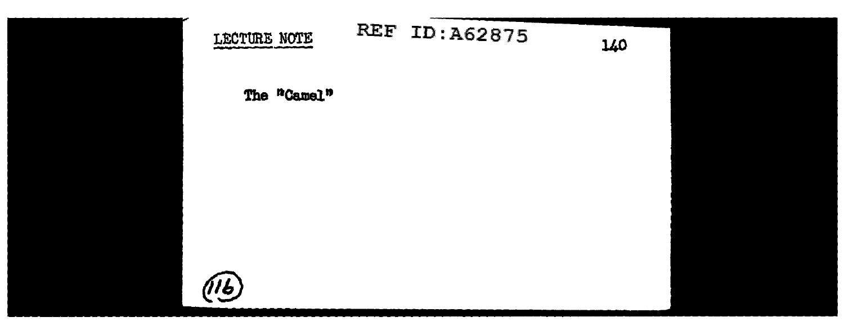



140

The "Camel"

LECTURE NOTE